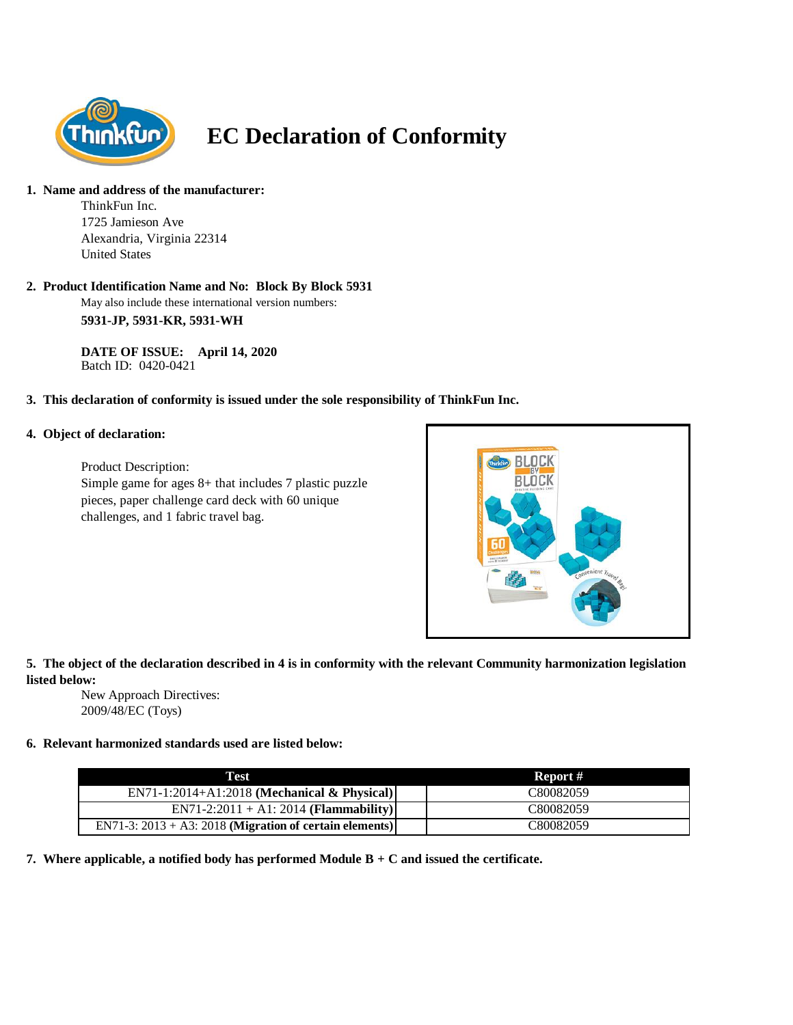

# **EC Declaration of Conformity**

#### **1. Name and address of the manufacturer:**

ThinkFun Inc. 1725 Jamieson Ave Alexandria, Virginia 22314 United States

#### **2. Product Identification Name and No: Block By Block 5931**

May also include these international version numbers: **5931-JP, 5931-KR, 5931-WH**

**DATE OF ISSUE: April 14, 2020** Batch ID: 0420-0421

#### **3. This declaration of conformity is issued under the sole responsibility of ThinkFun Inc.**

#### **4. Object of declaration:**

Product Description: Simple game for ages 8+ that includes 7 plastic puzzle pieces, paper challenge card deck with 60 unique challenges, and 1 fabric travel bag.



### **5. The object of the declaration described in 4 is in conformity with the relevant Community harmonization legislation listed below:**

New Approach Directives: 2009/48/EC (Toys)

## **6. Relevant harmonized standards used are listed below:**

| Test                                                       | Report #  |
|------------------------------------------------------------|-----------|
| EN71-1:2014+A1:2018 (Mechanical & Physical)                | C80082059 |
| $EN71-2:2011 + A1:2014 (Flammablity)$                      | C80082059 |
| EN71-3: $2013 + A3$ : 2018 (Migration of certain elements) | C80082059 |

**7. Where applicable, a notified body has performed Module B + C and issued the certificate.**